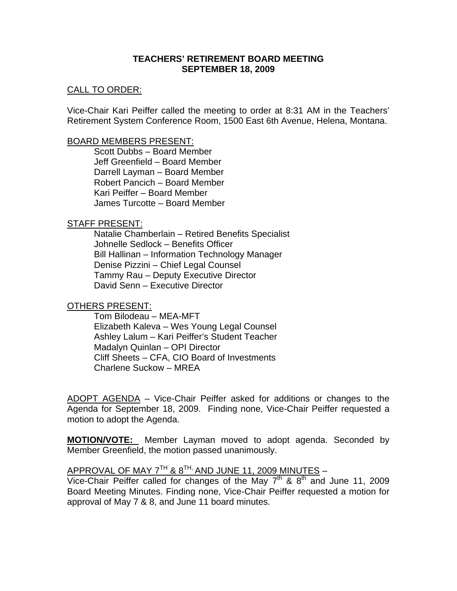### **TEACHERS' RETIREMENT BOARD MEETING SEPTEMBER 18, 2009**

#### CALL TO ORDER:

Vice-Chair Kari Peiffer called the meeting to order at 8:31 AM in the Teachers' Retirement System Conference Room, 1500 East 6th Avenue, Helena, Montana.

#### BOARD MEMBERS PRESENT:

Scott Dubbs – Board Member Jeff Greenfield – Board Member Darrell Layman – Board Member Robert Pancich – Board Member Kari Peiffer – Board Member James Turcotte – Board Member

#### STAFF PRESENT:

Natalie Chamberlain – Retired Benefits Specialist Johnelle Sedlock – Benefits Officer Bill Hallinan – Information Technology Manager Denise Pizzini – Chief Legal Counsel Tammy Rau – Deputy Executive Director David Senn – Executive Director

#### OTHERS PRESENT:

Tom Bilodeau – MEA-MFT Elizabeth Kaleva – Wes Young Legal Counsel Ashley Lalum – Kari Peiffer's Student Teacher Madalyn Quinlan – OPI Director Cliff Sheets – CFA, CIO Board of Investments Charlene Suckow – MREA

ADOPT AGENDA – Vice-Chair Peiffer asked for additions or changes to the Agenda for September 18, 2009. Finding none, Vice-Chair Peiffer requested a motion to adopt the Agenda.

**MOTION/VOTE:** Member Layman moved to adopt agenda. Seconded by Member Greenfield, the motion passed unanimously.

# APPROVAL OF MAY  $7^{TH}$  &  $8^{TH}$ , AND JUNE 11, 2009 MINUTES –

Vice-Chair Peiffer called for changes of the May  $7<sup>th</sup>$  &  $8<sup>th</sup>$  and June 11, 2009 Board Meeting Minutes. Finding none, Vice-Chair Peiffer requested a motion for approval of May 7 & 8, and June 11 board minutes.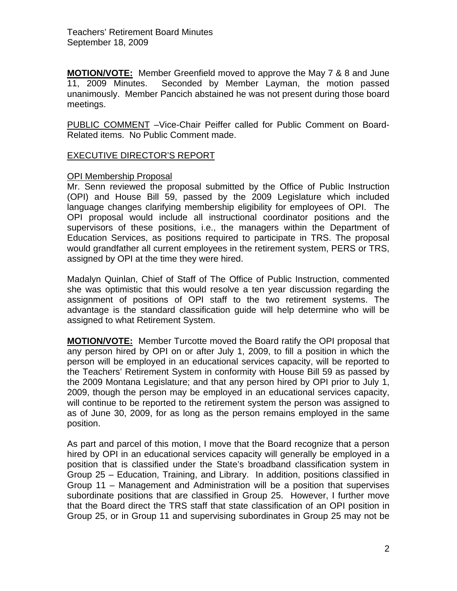**MOTION/VOTE:** Member Greenfield moved to approve the May 7 & 8 and June 11, 2009 Minutes. Seconded by Member Layman, the motion passed unanimously. Member Pancich abstained he was not present during those board meetings.

PUBLIC COMMENT –Vice-Chair Peiffer called for Public Comment on Board-Related items. No Public Comment made.

# EXECUTIVE DIRECTOR'S REPORT

#### OPI Membership Proposal

Mr. Senn reviewed the proposal submitted by the Office of Public Instruction (OPI) and House Bill 59, passed by the 2009 Legislature which included language changes clarifying membership eligibility for employees of OPI. The OPI proposal would include all instructional coordinator positions and the supervisors of these positions, i.e., the managers within the Department of Education Services, as positions required to participate in TRS. The proposal would grandfather all current employees in the retirement system, PERS or TRS, assigned by OPI at the time they were hired.

Madalyn Quinlan, Chief of Staff of The Office of Public Instruction, commented she was optimistic that this would resolve a ten year discussion regarding the assignment of positions of OPI staff to the two retirement systems. The advantage is the standard classification guide will help determine who will be assigned to what Retirement System.

**MOTION/VOTE:** Member Turcotte moved the Board ratify the OPI proposal that any person hired by OPI on or after July 1, 2009, to fill a position in which the person will be employed in an educational services capacity, will be reported to the Teachers' Retirement System in conformity with House Bill 59 as passed by the 2009 Montana Legislature; and that any person hired by OPI prior to July 1, 2009, though the person may be employed in an educational services capacity, will continue to be reported to the retirement system the person was assigned to as of June 30, 2009, for as long as the person remains employed in the same position.

As part and parcel of this motion, I move that the Board recognize that a person hired by OPI in an educational services capacity will generally be employed in a position that is classified under the State's broadband classification system in Group 25 – Education, Training, and Library. In addition, positions classified in Group 11 – Management and Administration will be a position that supervises subordinate positions that are classified in Group 25. However, I further move that the Board direct the TRS staff that state classification of an OPI position in Group 25, or in Group 11 and supervising subordinates in Group 25 may not be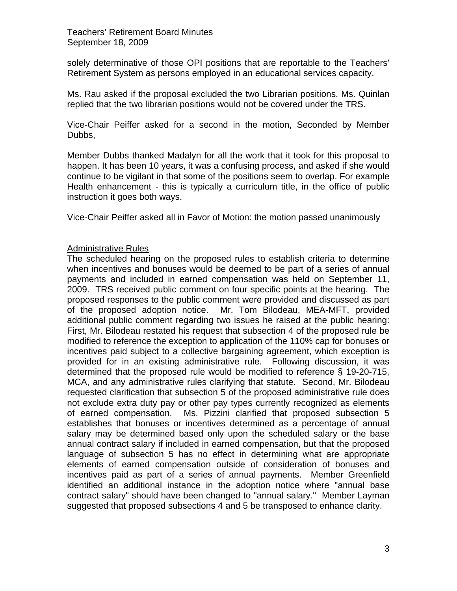solely determinative of those OPI positions that are reportable to the Teachers' Retirement System as persons employed in an educational services capacity.

Ms. Rau asked if the proposal excluded the two Librarian positions. Ms. Quinlan replied that the two librarian positions would not be covered under the TRS.

Vice-Chair Peiffer asked for a second in the motion, Seconded by Member Dubbs,

Member Dubbs thanked Madalyn for all the work that it took for this proposal to happen. It has been 10 years, it was a confusing process, and asked if she would continue to be vigilant in that some of the positions seem to overlap. For example Health enhancement - this is typically a curriculum title, in the office of public instruction it goes both ways.

Vice-Chair Peiffer asked all in Favor of Motion: the motion passed unanimously

### Administrative Rules

The scheduled hearing on the proposed rules to establish criteria to determine when incentives and bonuses would be deemed to be part of a series of annual payments and included in earned compensation was held on September 11, 2009. TRS received public comment on four specific points at the hearing. The proposed responses to the public comment were provided and discussed as part of the proposed adoption notice. Mr. Tom Bilodeau, MEA-MFT, provided additional public comment regarding two issues he raised at the public hearing: First, Mr. Bilodeau restated his request that subsection 4 of the proposed rule be modified to reference the exception to application of the 110% cap for bonuses or incentives paid subject to a collective bargaining agreement, which exception is provided for in an existing administrative rule. Following discussion, it was determined that the proposed rule would be modified to reference § 19-20-715, MCA, and any administrative rules clarifying that statute. Second, Mr. Bilodeau requested clarification that subsection 5 of the proposed administrative rule does not exclude extra duty pay or other pay types currently recognized as elements of earned compensation. Ms. Pizzini clarified that proposed subsection 5 establishes that bonuses or incentives determined as a percentage of annual salary may be determined based only upon the scheduled salary or the base annual contract salary if included in earned compensation, but that the proposed language of subsection 5 has no effect in determining what are appropriate elements of earned compensation outside of consideration of bonuses and incentives paid as part of a series of annual payments. Member Greenfield identified an additional instance in the adoption notice where "annual base contract salary" should have been changed to "annual salary." Member Layman suggested that proposed subsections 4 and 5 be transposed to enhance clarity.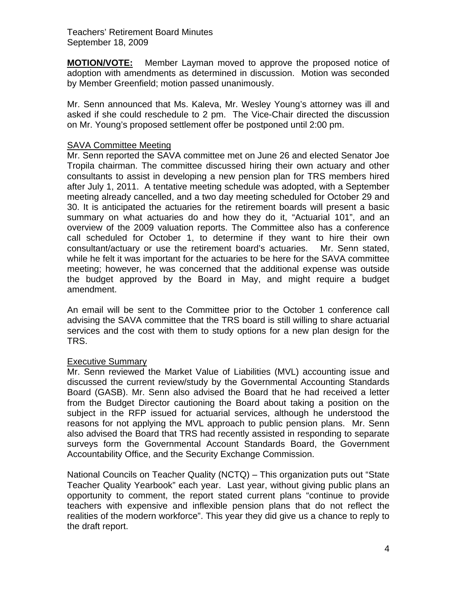**MOTION/VOTE:** Member Layman moved to approve the proposed notice of adoption with amendments as determined in discussion. Motion was seconded by Member Greenfield; motion passed unanimously.

Mr. Senn announced that Ms. Kaleva, Mr. Wesley Young's attorney was ill and asked if she could reschedule to 2 pm. The Vice-Chair directed the discussion on Mr. Young's proposed settlement offer be postponed until 2:00 pm.

### SAVA Committee Meeting

Mr. Senn reported the SAVA committee met on June 26 and elected Senator Joe Tropila chairman. The committee discussed hiring their own actuary and other consultants to assist in developing a new pension plan for TRS members hired after July 1, 2011. A tentative meeting schedule was adopted, with a September meeting already cancelled, and a two day meeting scheduled for October 29 and 30. It is anticipated the actuaries for the retirement boards will present a basic summary on what actuaries do and how they do it, "Actuarial 101", and an overview of the 2009 valuation reports. The Committee also has a conference call scheduled for October 1, to determine if they want to hire their own consultant/actuary or use the retirement board's actuaries. Mr. Senn stated, while he felt it was important for the actuaries to be here for the SAVA committee meeting; however, he was concerned that the additional expense was outside the budget approved by the Board in May, and might require a budget amendment.

An email will be sent to the Committee prior to the October 1 conference call advising the SAVA committee that the TRS board is still willing to share actuarial services and the cost with them to study options for a new plan design for the TRS.

#### Executive Summary

Mr. Senn reviewed the Market Value of Liabilities (MVL) accounting issue and discussed the current review/study by the Governmental Accounting Standards Board (GASB). Mr. Senn also advised the Board that he had received a letter from the Budget Director cautioning the Board about taking a position on the subject in the RFP issued for actuarial services, although he understood the reasons for not applying the MVL approach to public pension plans. Mr. Senn also advised the Board that TRS had recently assisted in responding to separate surveys form the Governmental Account Standards Board, the Government Accountability Office, and the Security Exchange Commission.

National Councils on Teacher Quality (NCTQ) – This organization puts out "State Teacher Quality Yearbook" each year. Last year, without giving public plans an opportunity to comment, the report stated current plans "continue to provide teachers with expensive and inflexible pension plans that do not reflect the realities of the modern workforce". This year they did give us a chance to reply to the draft report.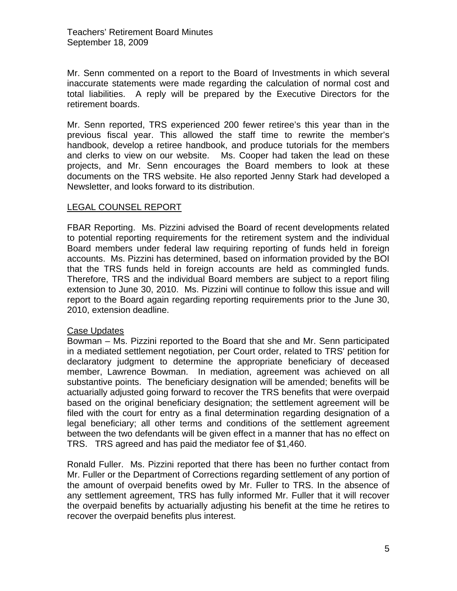Mr. Senn commented on a report to the Board of Investments in which several inaccurate statements were made regarding the calculation of normal cost and total liabilities. A reply will be prepared by the Executive Directors for the retirement boards.

Mr. Senn reported, TRS experienced 200 fewer retiree's this year than in the previous fiscal year. This allowed the staff time to rewrite the member's handbook, develop a retiree handbook, and produce tutorials for the members and clerks to view on our website. Ms. Cooper had taken the lead on these projects, and Mr. Senn encourages the Board members to look at these documents on the TRS website. He also reported Jenny Stark had developed a Newsletter, and looks forward to its distribution.

# LEGAL COUNSEL REPORT

FBAR Reporting. Ms. Pizzini advised the Board of recent developments related to potential reporting requirements for the retirement system and the individual Board members under federal law requiring reporting of funds held in foreign accounts. Ms. Pizzini has determined, based on information provided by the BOI that the TRS funds held in foreign accounts are held as commingled funds. Therefore, TRS and the individual Board members are subject to a report filing extension to June 30, 2010. Ms. Pizzini will continue to follow this issue and will report to the Board again regarding reporting requirements prior to the June 30, 2010, extension deadline.

# Case Updates

Bowman – Ms. Pizzini reported to the Board that she and Mr. Senn participated in a mediated settlement negotiation, per Court order, related to TRS' petition for declaratory judgment to determine the appropriate beneficiary of deceased member, Lawrence Bowman. In mediation, agreement was achieved on all substantive points. The beneficiary designation will be amended; benefits will be actuarially adjusted going forward to recover the TRS benefits that were overpaid based on the original beneficiary designation; the settlement agreement will be filed with the court for entry as a final determination regarding designation of a legal beneficiary; all other terms and conditions of the settlement agreement between the two defendants will be given effect in a manner that has no effect on TRS. TRS agreed and has paid the mediator fee of \$1,460.

Ronald Fuller. Ms. Pizzini reported that there has been no further contact from Mr. Fuller or the Department of Corrections regarding settlement of any portion of the amount of overpaid benefits owed by Mr. Fuller to TRS. In the absence of any settlement agreement, TRS has fully informed Mr. Fuller that it will recover the overpaid benefits by actuarially adjusting his benefit at the time he retires to recover the overpaid benefits plus interest.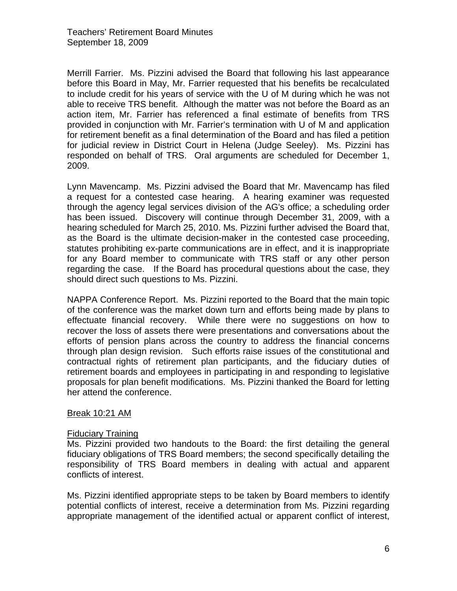Merrill Farrier. Ms. Pizzini advised the Board that following his last appearance before this Board in May, Mr. Farrier requested that his benefits be recalculated to include credit for his years of service with the U of M during which he was not able to receive TRS benefit. Although the matter was not before the Board as an action item, Mr. Farrier has referenced a final estimate of benefits from TRS provided in conjunction with Mr. Farrier's termination with U of M and application for retirement benefit as a final determination of the Board and has filed a petition for judicial review in District Court in Helena (Judge Seeley). Ms. Pizzini has responded on behalf of TRS. Oral arguments are scheduled for December 1, 2009.

Lynn Mavencamp. Ms. Pizzini advised the Board that Mr. Mavencamp has filed a request for a contested case hearing. A hearing examiner was requested through the agency legal services division of the AG's office; a scheduling order has been issued. Discovery will continue through December 31, 2009, with a hearing scheduled for March 25, 2010. Ms. Pizzini further advised the Board that, as the Board is the ultimate decision-maker in the contested case proceeding, statutes prohibiting ex-parte communications are in effect, and it is inappropriate for any Board member to communicate with TRS staff or any other person regarding the case. If the Board has procedural questions about the case, they should direct such questions to Ms. Pizzini.

NAPPA Conference Report. Ms. Pizzini reported to the Board that the main topic of the conference was the market down turn and efforts being made by plans to effectuate financial recovery. While there were no suggestions on how to recover the loss of assets there were presentations and conversations about the efforts of pension plans across the country to address the financial concerns through plan design revision. Such efforts raise issues of the constitutional and contractual rights of retirement plan participants, and the fiduciary duties of retirement boards and employees in participating in and responding to legislative proposals for plan benefit modifications. Ms. Pizzini thanked the Board for letting her attend the conference.

# Break 10:21 AM

#### Fiduciary Training

Ms. Pizzini provided two handouts to the Board: the first detailing the general fiduciary obligations of TRS Board members; the second specifically detailing the responsibility of TRS Board members in dealing with actual and apparent conflicts of interest.

Ms. Pizzini identified appropriate steps to be taken by Board members to identify potential conflicts of interest, receive a determination from Ms. Pizzini regarding appropriate management of the identified actual or apparent conflict of interest,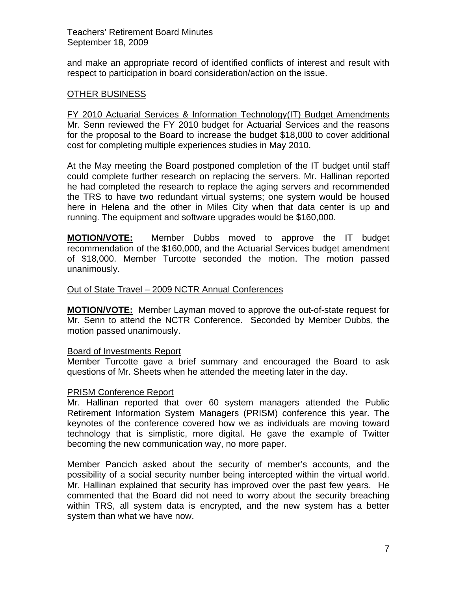and make an appropriate record of identified conflicts of interest and result with respect to participation in board consideration/action on the issue.

# OTHER BUSINESS

FY 2010 Actuarial Services & Information Technology(IT) Budget Amendments Mr. Senn reviewed the FY 2010 budget for Actuarial Services and the reasons for the proposal to the Board to increase the budget \$18,000 to cover additional cost for completing multiple experiences studies in May 2010.

At the May meeting the Board postponed completion of the IT budget until staff could complete further research on replacing the servers. Mr. Hallinan reported he had completed the research to replace the aging servers and recommended the TRS to have two redundant virtual systems; one system would be housed here in Helena and the other in Miles City when that data center is up and running. The equipment and software upgrades would be \$160,000.

**MOTION/VOTE:** Member Dubbs moved to approve the IT budget recommendation of the \$160,000, and the Actuarial Services budget amendment of \$18,000. Member Turcotte seconded the motion. The motion passed unanimously.

### Out of State Travel – 2009 NCTR Annual Conferences

**MOTION/VOTE:** Member Layman moved to approve the out-of-state request for Mr. Senn to attend the NCTR Conference. Seconded by Member Dubbs, the motion passed unanimously.

#### Board of Investments Report

Member Turcotte gave a brief summary and encouraged the Board to ask questions of Mr. Sheets when he attended the meeting later in the day.

#### PRISM Conference Report

Mr. Hallinan reported that over 60 system managers attended the Public Retirement Information System Managers (PRISM) conference this year. The keynotes of the conference covered how we as individuals are moving toward technology that is simplistic, more digital. He gave the example of Twitter becoming the new communication way, no more paper.

Member Pancich asked about the security of member's accounts, and the possibility of a social security number being intercepted within the virtual world. Mr. Hallinan explained that security has improved over the past few years. He commented that the Board did not need to worry about the security breaching within TRS, all system data is encrypted, and the new system has a better system than what we have now.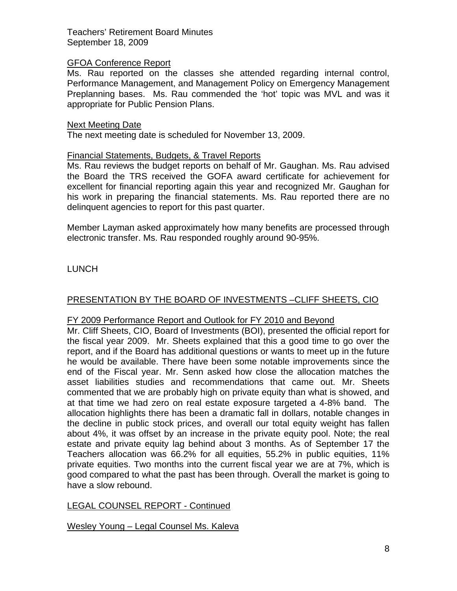### GFOA Conference Report

Ms. Rau reported on the classes she attended regarding internal control, Performance Management, and Management Policy on Emergency Management Preplanning bases. Ms. Rau commended the 'hot' topic was MVL and was it appropriate for Public Pension Plans.

### Next Meeting Date

The next meeting date is scheduled for November 13, 2009.

### Financial Statements, Budgets, & Travel Reports

Ms. Rau reviews the budget reports on behalf of Mr. Gaughan. Ms. Rau advised the Board the TRS received the GOFA award certificate for achievement for excellent for financial reporting again this year and recognized Mr. Gaughan for his work in preparing the financial statements. Ms. Rau reported there are no delinquent agencies to report for this past quarter.

Member Layman asked approximately how many benefits are processed through electronic transfer. Ms. Rau responded roughly around 90-95%.

LUNCH

# PRESENTATION BY THE BOARD OF INVESTMENTS –CLIFF SHEETS, CIO

# FY 2009 Performance Report and Outlook for FY 2010 and Beyond

Mr. Cliff Sheets, CIO, Board of Investments (BOI), presented the official report for the fiscal year 2009. Mr. Sheets explained that this a good time to go over the report, and if the Board has additional questions or wants to meet up in the future he would be available. There have been some notable improvements since the end of the Fiscal year. Mr. Senn asked how close the allocation matches the asset liabilities studies and recommendations that came out. Mr. Sheets commented that we are probably high on private equity than what is showed, and at that time we had zero on real estate exposure targeted a 4-8% band. The allocation highlights there has been a dramatic fall in dollars, notable changes in the decline in public stock prices, and overall our total equity weight has fallen about 4%, it was offset by an increase in the private equity pool. Note; the real estate and private equity lag behind about 3 months. As of September 17 the Teachers allocation was 66.2% for all equities, 55.2% in public equities, 11% private equities. Two months into the current fiscal year we are at 7%, which is good compared to what the past has been through. Overall the market is going to have a slow rebound.

# LEGAL COUNSEL REPORT - Continued

Wesley Young – Legal Counsel Ms. Kaleva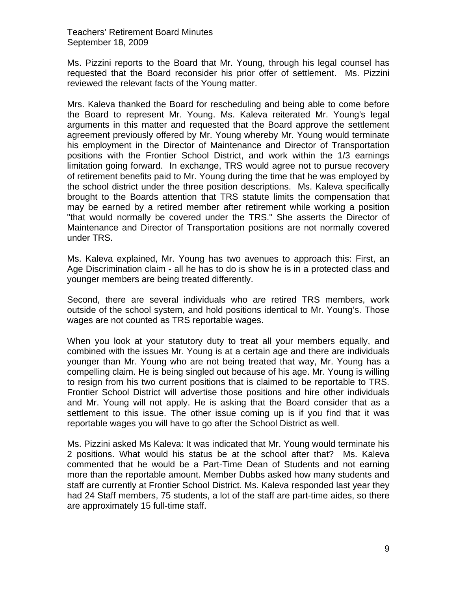Ms. Pizzini reports to the Board that Mr. Young, through his legal counsel has requested that the Board reconsider his prior offer of settlement. Ms. Pizzini reviewed the relevant facts of the Young matter.

Mrs. Kaleva thanked the Board for rescheduling and being able to come before the Board to represent Mr. Young. Ms. Kaleva reiterated Mr. Young's legal arguments in this matter and requested that the Board approve the settlement agreement previously offered by Mr. Young whereby Mr. Young would terminate his employment in the Director of Maintenance and Director of Transportation positions with the Frontier School District, and work within the 1/3 earnings limitation going forward. In exchange, TRS would agree not to pursue recovery of retirement benefits paid to Mr. Young during the time that he was employed by the school district under the three position descriptions. Ms. Kaleva specifically brought to the Boards attention that TRS statute limits the compensation that may be earned by a retired member after retirement while working a position "that would normally be covered under the TRS." She asserts the Director of Maintenance and Director of Transportation positions are not normally covered under TRS.

Ms. Kaleva explained, Mr. Young has two avenues to approach this: First, an Age Discrimination claim - all he has to do is show he is in a protected class and younger members are being treated differently.

Second, there are several individuals who are retired TRS members, work outside of the school system, and hold positions identical to Mr. Young's. Those wages are not counted as TRS reportable wages.

When you look at your statutory duty to treat all your members equally, and combined with the issues Mr. Young is at a certain age and there are individuals younger than Mr. Young who are not being treated that way, Mr. Young has a compelling claim. He is being singled out because of his age. Mr. Young is willing to resign from his two current positions that is claimed to be reportable to TRS. Frontier School District will advertise those positions and hire other individuals and Mr. Young will not apply. He is asking that the Board consider that as a settlement to this issue. The other issue coming up is if you find that it was reportable wages you will have to go after the School District as well.

Ms. Pizzini asked Ms Kaleva: It was indicated that Mr. Young would terminate his 2 positions. What would his status be at the school after that? Ms. Kaleva commented that he would be a Part-Time Dean of Students and not earning more than the reportable amount. Member Dubbs asked how many students and staff are currently at Frontier School District. Ms. Kaleva responded last year they had 24 Staff members, 75 students, a lot of the staff are part-time aides, so there are approximately 15 full-time staff.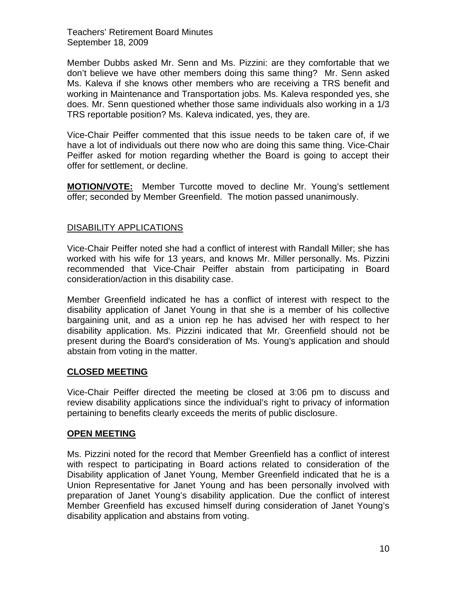Member Dubbs asked Mr. Senn and Ms. Pizzini: are they comfortable that we don't believe we have other members doing this same thing? Mr. Senn asked Ms. Kaleva if she knows other members who are receiving a TRS benefit and working in Maintenance and Transportation jobs. Ms. Kaleva responded yes, she does. Mr. Senn questioned whether those same individuals also working in a 1/3 TRS reportable position? Ms. Kaleva indicated, yes, they are.

Vice-Chair Peiffer commented that this issue needs to be taken care of, if we have a lot of individuals out there now who are doing this same thing. Vice-Chair Peiffer asked for motion regarding whether the Board is going to accept their offer for settlement, or decline.

**MOTION/VOTE:** Member Turcotte moved to decline Mr. Young's settlement offer; seconded by Member Greenfield. The motion passed unanimously.

# DISABILITY APPLICATIONS

Vice-Chair Peiffer noted she had a conflict of interest with Randall Miller; she has worked with his wife for 13 years, and knows Mr. Miller personally. Ms. Pizzini recommended that Vice-Chair Peiffer abstain from participating in Board consideration/action in this disability case.

Member Greenfield indicated he has a conflict of interest with respect to the disability application of Janet Young in that she is a member of his collective bargaining unit, and as a union rep he has advised her with respect to her disability application. Ms. Pizzini indicated that Mr. Greenfield should not be present during the Board's consideration of Ms. Young's application and should abstain from voting in the matter.

# **CLOSED MEETING**

Vice-Chair Peiffer directed the meeting be closed at 3:06 pm to discuss and review disability applications since the individual's right to privacy of information pertaining to benefits clearly exceeds the merits of public disclosure.

# **OPEN MEETING**

Ms. Pizzini noted for the record that Member Greenfield has a conflict of interest with respect to participating in Board actions related to consideration of the Disability application of Janet Young, Member Greenfield indicated that he is a Union Representative for Janet Young and has been personally involved with preparation of Janet Young's disability application. Due the conflict of interest Member Greenfield has excused himself during consideration of Janet Young's disability application and abstains from voting.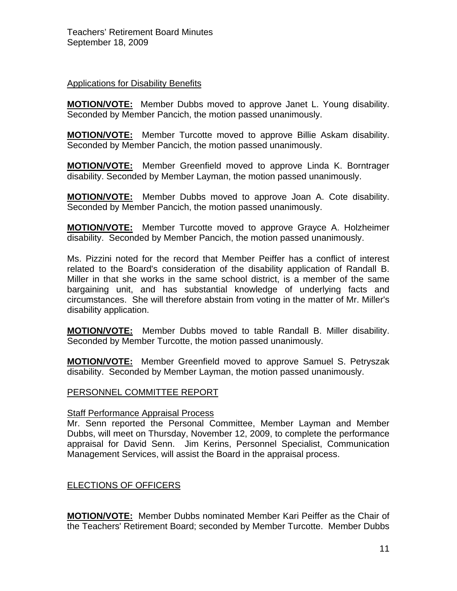# Applications for Disability Benefits

**MOTION/VOTE:** Member Dubbs moved to approve Janet L. Young disability. Seconded by Member Pancich, the motion passed unanimously.

**MOTION/VOTE:** Member Turcotte moved to approve Billie Askam disability. Seconded by Member Pancich, the motion passed unanimously.

**MOTION/VOTE:** Member Greenfield moved to approve Linda K. Borntrager disability. Seconded by Member Layman, the motion passed unanimously.

**MOTION/VOTE:** Member Dubbs moved to approve Joan A. Cote disability. Seconded by Member Pancich, the motion passed unanimously.

**MOTION/VOTE:** Member Turcotte moved to approve Grayce A. Holzheimer disability. Seconded by Member Pancich, the motion passed unanimously.

Ms. Pizzini noted for the record that Member Peiffer has a conflict of interest related to the Board's consideration of the disability application of Randall B. Miller in that she works in the same school district, is a member of the same bargaining unit, and has substantial knowledge of underlying facts and circumstances. She will therefore abstain from voting in the matter of Mr. Miller's disability application.

**MOTION/VOTE:** Member Dubbs moved to table Randall B. Miller disability. Seconded by Member Turcotte, the motion passed unanimously.

**MOTION/VOTE:** Member Greenfield moved to approve Samuel S. Petryszak disability. Seconded by Member Layman, the motion passed unanimously.

#### PERSONNEL COMMITTEE REPORT

#### **Staff Performance Appraisal Process**

Mr. Senn reported the Personal Committee, Member Layman and Member Dubbs, will meet on Thursday, November 12, 2009, to complete the performance appraisal for David Senn. Jim Kerins, Personnel Specialist, Communication Management Services, will assist the Board in the appraisal process.

# ELECTIONS OF OFFICERS

**MOTION/VOTE:** Member Dubbs nominated Member Kari Peiffer as the Chair of the Teachers' Retirement Board; seconded by Member Turcotte. Member Dubbs